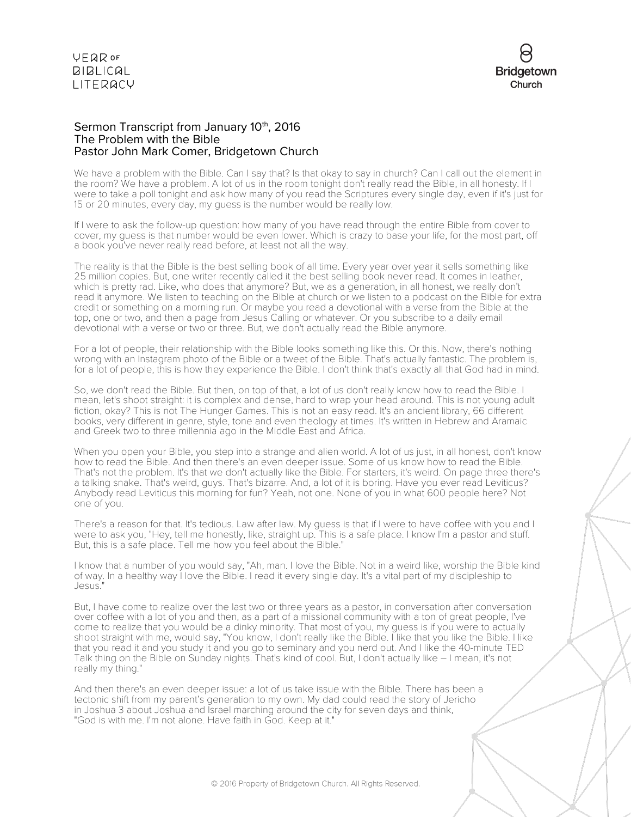

### Sermon Transcript from January 10<sup>th</sup>, 2016 The Problem with the Bible Pastor John Mark Comer, Bridgetown Church

We have a problem with the Bible. Can I say that? Is that okay to say in church? Can I call out the element in the room? We have a problem. A lot of us in the room tonight don't really read the Bible, in all honesty. If I were to take a poll tonight and ask how many of you read the Scriptures every single day, even if it's just for 15 or 20 minutes, every day, my guess is the number would be really low.

If I were to ask the follow-up question: how many of you have read through the entire Bible from cover to cover, my guess is that number would be even lower. Which is crazy to base your life, for the most part, off a book you've never really read before, at least not all the way.

The reality is that the Bible is the best selling book of all time. Every year over year it sells something like 25 million copies. But, one writer recently called it the best selling book never read. It comes in leather, which is pretty rad. Like, who does that anymore? But, we as a generation, in all honest, we really don't read it anymore. We listen to teaching on the Bible at church or we listen to a podcast on the Bible for extra credit or something on a morning run. Or maybe you read a devotional with a verse from the Bible at the top, one or two, and then a page from Jesus Calling or whatever. Or you subscribe to a daily email devotional with a verse or two or three. But, we don't actually read the Bible anymore.

For a lot of people, their relationship with the Bible looks something like this. Or this. Now, there's nothing wrong with an Instagram photo of the Bible or a tweet of the Bible. That's actually fantastic. The problem is, for a lot of people, this is how they experience the Bible. I don't think that's exactly all that God had in mind.

So, we don't read the Bible. But then, on top of that, a lot of us don't really know how to read the Bible. I mean, let's shoot straight: it is complex and dense, hard to wrap your head around. This is not young adult fiction, okay? This is not The Hunger Games. This is not an easy read. It's an ancient library, 66 different books, very different in genre, style, tone and even theology at times. It's written in Hebrew and Aramaic and Greek two to three millennia ago in the Middle East and Africa.

When you open your Bible, you step into a strange and alien world. A lot of us just, in all honest, don't know how to read the Bible. And then there's an even deeper issue. Some of us know how to read the Bible. That's not the problem. It's that we don't actually like the Bible. For starters, it's weird. On page three there's a talking snake. That's weird, guys. That's bizarre. And, a lot of it is boring. Have you ever read Leviticus? Anybody read Leviticus this morning for fun? Yeah, not one. None of you in what 600 people here? Not one of you.

There's a reason for that. It's tedious. Law after law. My guess is that if I were to have coffee with you and I were to ask you, "Hey, tell me honestly, like, straight up. This is a safe place. I know I'm a pastor and stuff. But, this is a safe place. Tell me how you feel about the Bible."

I know that a number of you would say, "Ah, man. I love the Bible. Not in a weird like, worship the Bible kind of way. In a healthy way I love the Bible. I read it every single day. It's a vital part of my discipleship to Jesus."

But, I have come to realize over the last two or three years as a pastor, in conversation after conversation over coffee with a lot of you and then, as a part of a missional community with a ton of great people, I've come to realize that you would be a dinky minority. That most of you, my guess is if you were to actually shoot straight with me, would say, "You know, I don't really like the Bible. I like that you like the Bible. I like that you read it and you study it and you go to seminary and you nerd out. And I like the 40-minute TED Talk thing on the Bible on Sunday nights. That's kind of cool. But, I don't actually like – I mean, it's not really my thing."

And then there's an even deeper issue: a lot of us take issue with the Bible. There has been a tectonic shift from my parent's generation to my own. My dad could read the story of Jericho in Joshua 3 about Joshua and Israel marching around the city for seven days and think, "God is with me. I'm not alone. Have faith in God. Keep at it."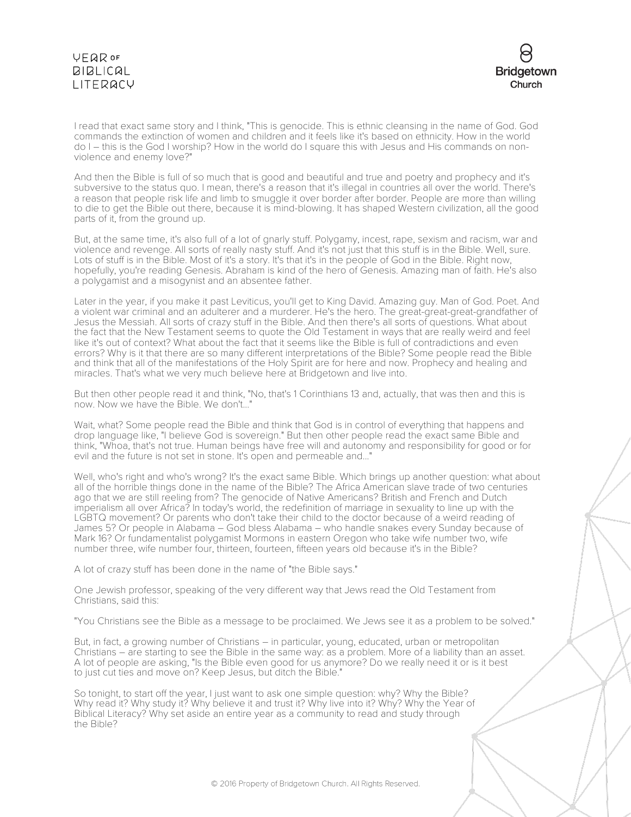

I read that exact same story and I think, "This is genocide. This is ethnic cleansing in the name of God. God commands the extinction of women and children and it feels like it's based on ethnicity. How in the world do I – this is the God I worship? How in the world do I square this with Jesus and His commands on nonviolence and enemy love?"

And then the Bible is full of so much that is good and beautiful and true and poetry and prophecy and it's subversive to the status quo. I mean, there's a reason that it's illegal in countries all over the world. There's a reason that people risk life and limb to smuggle it over border after border. People are more than willing to die to get the Bible out there, because it is mind-blowing. It has shaped Western civilization, all the good parts of it, from the ground up.

But, at the same time, it's also full of a lot of gnarly stuff. Polygamy, incest, rape, sexism and racism, war and violence and revenge. All sorts of really nasty stuff. And it's not just that this stuff is in the Bible. Well, sure. Lots of stuff is in the Bible. Most of it's a story. It's that it's in the people of God in the Bible. Right now, hopefully, you're reading Genesis. Abraham is kind of the hero of Genesis. Amazing man of faith. He's also a polygamist and a misogynist and an absentee father.

Later in the year, if you make it past Leviticus, you'll get to King David. Amazing guy. Man of God. Poet. And a violent war criminal and an adulterer and a murderer. He's the hero. The great-great-great-grandfather of Jesus the Messiah. All sorts of crazy stuff in the Bible. And then there's all sorts of questions. What about the fact that the New Testament seems to quote the Old Testament in ways that are really weird and feel like it's out of context? What about the fact that it seems like the Bible is full of contradictions and even errors? Why is it that there are so many different interpretations of the Bible? Some people read the Bible and think that all of the manifestations of the Holy Spirit are for here and now. Prophecy and healing and miracles. That's what we very much believe here at Bridgetown and live into.

But then other people read it and think, "No, that's 1 Corinthians 13 and, actually, that was then and this is now. Now we have the Bible. We don't..."

Wait, what? Some people read the Bible and think that God is in control of everything that happens and drop language like, "I believe God is sovereign." But then other people read the exact same Bible and think, "Whoa, that's not true. Human beings have free will and autonomy and responsibility for good or for evil and the future is not set in stone. It's open and permeable and..."

Well, who's right and who's wrong? It's the exact same Bible. Which brings up another question: what about all of the horrible things done in the name of the Bible? The Africa American slave trade of two centuries ago that we are still reeling from? The genocide of Native Americans? British and French and Dutch imperialism all over Africa? In today's world, the redefinition of marriage in sexuality to line up with the LGBTQ movement? Or parents who don't take their child to the doctor because of a weird reading of James 5? Or people in Alabama – God bless Alabama – who handle snakes every Sunday because of Mark 16? Or fundamentalist polygamist Mormons in eastern Oregon who take wife number two, wife number three, wife number four, thirteen, fourteen, fifteen years old because it's in the Bible?

A lot of crazy stuff has been done in the name of "the Bible says."

One Jewish professor, speaking of the very different way that Jews read the Old Testament from Christians, said this:

"You Christians see the Bible as a message to be proclaimed. We Jews see it as a problem to be solved."

But, in fact, a growing number of Christians – in particular, young, educated, urban or metropolitan Christians – are starting to see the Bible in the same way: as a problem. More of a liability than an asset. A lot of people are asking, "Is the Bible even good for us anymore? Do we really need it or is it best to just cut ties and move on? Keep Jesus, but ditch the Bible."

So tonight, to start off the year, I just want to ask one simple question: why? Why the Bible? Why read it? Why study it? Why believe it and trust it? Why live into it? Why? Why the Year of Biblical Literacy? Why set aside an entire year as a community to read and study through the Bible?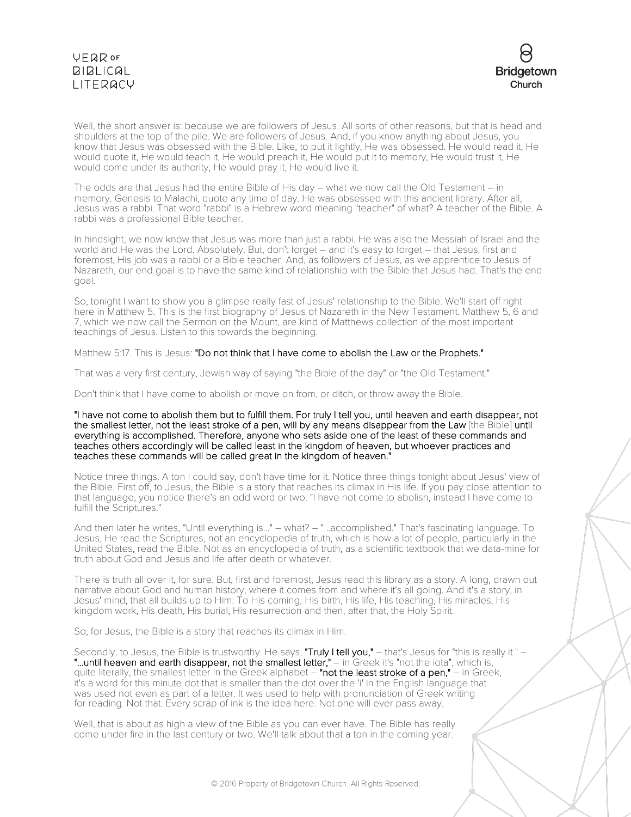

Well, the short answer is: because we are followers of Jesus. All sorts of other reasons, but that is head and shoulders at the top of the pile. We are followers of Jesus. And, if you know anything about Jesus, you know that Jesus was obsessed with the Bible. Like, to put it lightly, He was obsessed. He would read it, He would quote it, He would teach it, He would preach it, He would put it to memory, He would trust it, He would come under its authority, He would pray it, He would live it.

The odds are that Jesus had the entire Bible of His day – what we now call the Old Testament – in memory. Genesis to Malachi, quote any time of day. He was obsessed with this ancient library. After all, Jesus was a rabbi. That word "rabbi" is a Hebrew word meaning "teacher" of what? A teacher of the Bible. A rabbi was a professional Bible teacher.

In hindsight, we now know that Jesus was more than just a rabbi. He was also the Messiah of Israel and the world and He was the Lord. Absolutely. But, don't forget – and it's easy to forget – that Jesus, first and foremost, His job was a rabbi or a Bible teacher. And, as followers of Jesus, as we apprentice to Jesus of Nazareth, our end goal is to have the same kind of relationship with the Bible that Jesus had. That's the end goal.

So, tonight I want to show you a glimpse really fast of Jesus' relationship to the Bible. We'll start off right here in Matthew 5. This is the first biography of Jesus of Nazareth in the New Testament. Matthew 5, 6 and 7, which we now call the Sermon on the Mount, are kind of Matthews collection of the most important teachings of Jesus. Listen to this towards the beginning.

Matthew 5:17. This is Jesus: "Do not think that I have come to abolish the Law or the Prophets."

That was a very first century, Jewish way of saying "the Bible of the day" or "the Old Testament."

Don't think that I have come to abolish or move on from, or ditch, or throw away the Bible.

#### "I have not come to abolish them but to fulfill them. For truly I tell you, until heaven and earth disappear, not the smallest letter, not the least stroke of a pen, will by any means disappear from the Law [the Bible] until everything is accomplished. Therefore, anyone who sets aside one of the least of these commands and teaches others accordingly will be called least in the kingdom of heaven, but whoever practices and teaches these commands will be called great in the kingdom of heaven."

Notice three things. A ton I could say, don't have time for it. Notice three things tonight about Jesus' view of the Bible. First off, to Jesus, the Bible is a story that reaches its climax in His life. If you pay close attention to that language, you notice there's an odd word or two. "I have not come to abolish, instead I have come to fulfill the Scriptures."

And then later he writes, "Until everything is..." – what? – "...accomplished." That's fascinating language. To Jesus, He read the Scriptures, not an encyclopedia of truth, which is how a lot of people, particularly in the United States, read the Bible. Not as an encyclopedia of truth, as a scientific textbook that we data-mine for truth about God and Jesus and life after death or whatever.

There is truth all over it, for sure. But, first and foremost, Jesus read this library as a story. A long, drawn out narrative about God and human history, where it comes from and where it's all going. And it's a story, in Jesus' mind, that all builds up to Him. To His coming, His birth, His life, His teaching, His miracles, His kingdom work, His death, His burial, His resurrection and then, after that, the Holy Spirit.

So, for Jesus, the Bible is a story that reaches its climax in Him.

Secondly, to Jesus, the Bible is trustworthy. He says, "Truly I tell you," - that's Jesus for "this is really it." -"...until heaven and earth disappear, not the smallest letter," - in Greek it's "not the iota", which is, quite literally, the smallest letter in the Greek alphabet  $-$  "not the least stroke of a pen,"  $-$  in Greek, it's a word for this minute dot that is smaller than the dot over the 'i' in the English language that was used not even as part of a letter. It was used to help with pronunciation of Greek writing for reading. Not that. Every scrap of ink is the idea here. Not one will ever pass away.

Well, that is about as high a view of the Bible as you can ever have. The Bible has really come under fire in the last century or two. We'll talk about that a ton in the coming year.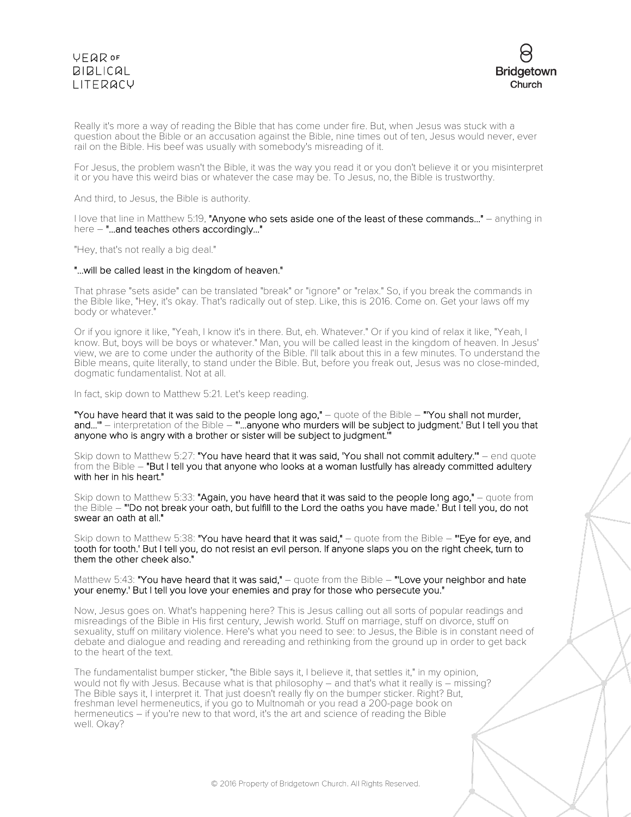

Really it's more a way of reading the Bible that has come under fire. But, when Jesus was stuck with a question about the Bible or an accusation against the Bible, nine times out of ten, Jesus would never, ever rail on the Bible. His beef was usually with somebody's misreading of it.

For Jesus, the problem wasn't the Bible, it was the way you read it or you don't believe it or you misinterpret it or you have this weird bias or whatever the case may be. To Jesus, no, the Bible is trustworthy.

And third, to Jesus, the Bible is authority.

I love that line in Matthew 5:19, "Anyone who sets aside one of the least of these commands..." – anything in here – "...and teaches others accordingly..."

"Hey, that's not really a big deal."

#### "...will be called least in the kingdom of heaven."

That phrase "sets aside" can be translated "break" or "ignore" or "relax." So, if you break the commands in the Bible like, "Hey, it's okay. That's radically out of step. Like, this is 2016. Come on. Get your laws off my body or whatever."

Or if you ignore it like, "Yeah, I know it's in there. But, eh. Whatever." Or if you kind of relax it like, "Yeah, I know. But, boys will be boys or whatever." Man, you will be called least in the kingdom of heaven. In Jesus' view, we are to come under the authority of the Bible. I'll talk about this in a few minutes. To understand the Bible means, quite literally, to stand under the Bible. But, before you freak out, Jesus was no close-minded, dogmatic fundamentalist. Not at all.

In fact, skip down to Matthew 5:21. Let's keep reading.

"You have heard that it was said to the people long ago," – quote of the Bible – "'You shall not murder, and..." – interpretation of the Bible – "...anyone who murders will be subject to judgment.' But I tell you that anyone who is angry with a brother or sister will be subject to judgment.'"

Skip down to Matthew 5:27: "You have heard that it was said, 'You shall not commit adultery." – end quote from the Bible - "But I tell you that anyone who looks at a woman lustfully has already committed adultery with her in his heart."

Skip down to Matthew 5:33: "Again, you have heard that it was said to the people long ago," – quote from the Bible – "'Do not break your oath, but fulfill to the Lord the oaths you have made.' But I tell you, do not swear an oath at all."

Skip down to Matthew 5:38: "You have heard that it was said," – quote from the Bible – "Eye for eye, and tooth for tooth.' But I tell you, do not resist an evil person. If anyone slaps you on the right cheek, turn to them the other cheek also."

Matthew 5:43: "You have heard that it was said," – quote from the Bible – "Love your neighbor and hate your enemy.' But I tell you love your enemies and pray for those who persecute you."

Now, Jesus goes on. What's happening here? This is Jesus calling out all sorts of popular readings and misreadings of the Bible in His first century, Jewish world. Stuff on marriage, stuff on divorce, stuff on sexuality, stuff on military violence. Here's what you need to see: to Jesus, the Bible is in constant need of debate and dialogue and reading and rereading and rethinking from the ground up in order to get back to the heart of the text.

The fundamentalist bumper sticker, "the Bible says it, I believe it, that settles it," in my opinion, would not fly with Jesus. Because what is that philosophy – and that's what it really is – missing? The Bible says it, I interpret it. That just doesn't really fly on the bumper sticker. Right? But, freshman level hermeneutics, if you go to Multnomah or you read a 200-page book on hermeneutics – if you're new to that word, it's the art and science of reading the Bible well. Okay?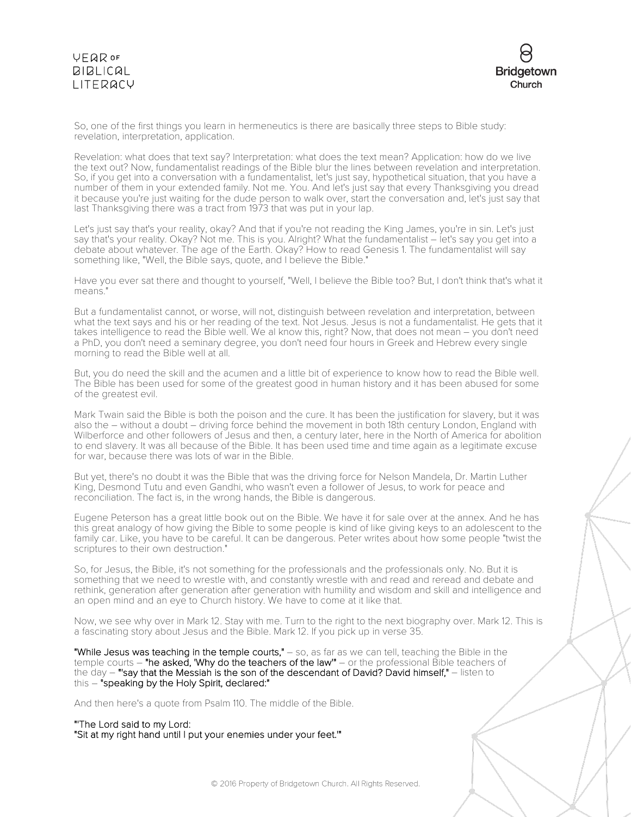

So, one of the first things you learn in hermeneutics is there are basically three steps to Bible study: revelation, interpretation, application.

Revelation: what does that text say? Interpretation: what does the text mean? Application: how do we live the text out? Now, fundamentalist readings of the Bible blur the lines between revelation and interpretation. So, if you get into a conversation with a fundamentalist, let's just say, hypothetical situation, that you have a number of them in your extended family. Not me. You. And let's just say that every Thanksgiving you dread it because you're just waiting for the dude person to walk over, start the conversation and, let's just say that last Thanksgiving there was a tract from 1973 that was put in your lap.

Let's just say that's your reality, okay? And that if you're not reading the King James, you're in sin. Let's just say that's your reality. Okay? Not me. This is you. Alright? What the fundamentalist – let's say you get into a debate about whatever. The age of the Earth. Okay? How to read Genesis 1. The fundamentalist will say something like, "Well, the Bible says, quote, and I believe the Bible."

Have you ever sat there and thought to yourself, "Well, I believe the Bible too? But, I don't think that's what it means."

But a fundamentalist cannot, or worse, will not, distinguish between revelation and interpretation, between what the text says and his or her reading of the text. Not Jesus. Jesus is not a fundamentalist. He gets that it takes intelligence to read the Bible well. We al know this, right? Now, that does not mean – you don't need a PhD, you don't need a seminary degree, you don't need four hours in Greek and Hebrew every single morning to read the Bible well at all.

But, you do need the skill and the acumen and a little bit of experience to know how to read the Bible well. The Bible has been used for some of the greatest good in human history and it has been abused for some of the greatest evil.

Mark Twain said the Bible is both the poison and the cure. It has been the justification for slavery, but it was also the – without a doubt – driving force behind the movement in both 18th century London, England with Wilberforce and other followers of Jesus and then, a century later, here in the North of America for abolition to end slavery. It was all because of the Bible. It has been used time and time again as a legitimate excuse for war, because there was lots of war in the Bible.

But yet, there's no doubt it was the Bible that was the driving force for Nelson Mandela, Dr. Martin Luther King, Desmond Tutu and even Gandhi, who wasn't even a follower of Jesus, to work for peace and reconciliation. The fact is, in the wrong hands, the Bible is dangerous.

Eugene Peterson has a great little book out on the Bible. We have it for sale over at the annex. And he has this great analogy of how giving the Bible to some people is kind of like giving keys to an adolescent to the family car. Like, you have to be careful. It can be dangerous. Peter writes about how some people "twist the scriptures to their own destruction."

So, for Jesus, the Bible, it's not something for the professionals and the professionals only. No. But it is something that we need to wrestle with, and constantly wrestle with and read and reread and debate and rethink, generation after generation after generation with humility and wisdom and skill and intelligence and an open mind and an eye to Church history. We have to come at it like that.

Now, we see why over in Mark 12. Stay with me. Turn to the right to the next biography over. Mark 12. This is a fascinating story about Jesus and the Bible. Mark 12. If you pick up in verse 35.

"While Jesus was teaching in the temple courts," - so, as far as we can tell, teaching the Bible in the temple courts – "he asked, 'Why do the teachers of the law'" – or the professional Bible teachers of the day  $-$  "'say that the Messiah is the son of the descendant of David? David himself,"  $-$  listen to this – "speaking by the Holy Spirit, declared:"

And then here's a quote from Psalm 110. The middle of the Bible.

### "'The Lord said to my Lord:

"Sit at my right hand until I put your enemies under your feet.'"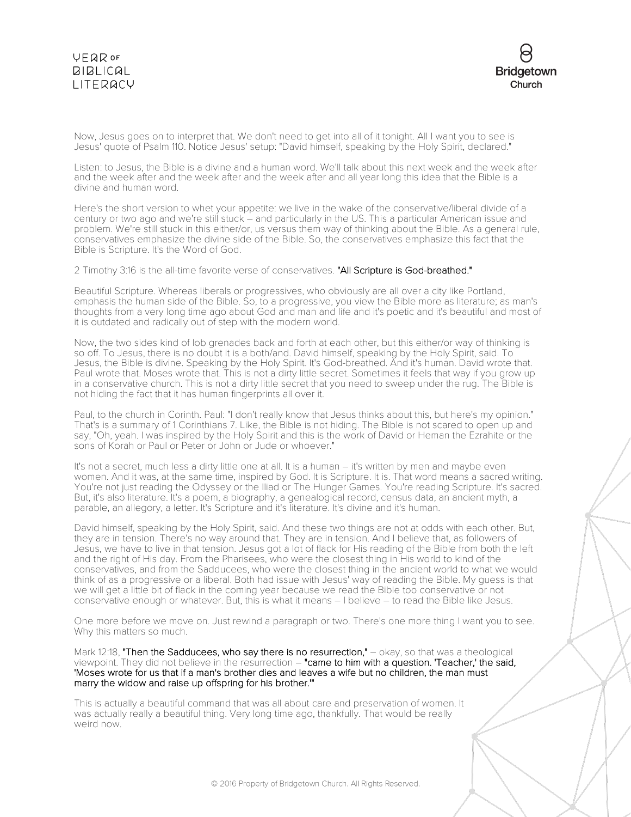

Now, Jesus goes on to interpret that. We don't need to get into all of it tonight. All I want you to see is Jesus' quote of Psalm 110. Notice Jesus' setup: "David himself, speaking by the Holy Spirit, declared."

Listen: to Jesus, the Bible is a divine and a human word. We'll talk about this next week and the week after and the week after and the week after and the week after and all year long this idea that the Bible is a divine and human word.

Here's the short version to whet your appetite: we live in the wake of the conservative/liberal divide of a century or two ago and we're still stuck – and particularly in the US. This a particular American issue and problem. We're still stuck in this either/or, us versus them way of thinking about the Bible. As a general rule, conservatives emphasize the divine side of the Bible. So, the conservatives emphasize this fact that the Bible is Scripture. It's the Word of God.

2 Timothy 3:16 is the all-time favorite verse of conservatives. "All Scripture is God-breathed."

Beautiful Scripture. Whereas liberals or progressives, who obviously are all over a city like Portland, emphasis the human side of the Bible. So, to a progressive, you view the Bible more as literature; as man's thoughts from a very long time ago about God and man and life and it's poetic and it's beautiful and most of it is outdated and radically out of step with the modern world.

Now, the two sides kind of lob grenades back and forth at each other, but this either/or way of thinking is so off. To Jesus, there is no doubt it is a both/and. David himself, speaking by the Holy Spirit, said. To Jesus, the Bible is divine. Speaking by the Holy Spirit. It's God-breathed. And it's human. David wrote that. Paul wrote that. Moses wrote that. This is not a dirty little secret. Sometimes it feels that way if you grow up in a conservative church. This is not a dirty little secret that you need to sweep under the rug. The Bible is not hiding the fact that it has human fingerprints all over it.

Paul, to the church in Corinth. Paul: "I don't really know that Jesus thinks about this, but here's my opinion." That's is a summary of 1 Corinthians 7. Like, the Bible is not hiding. The Bible is not scared to open up and say, "Oh, yeah. I was inspired by the Holy Spirit and this is the work of David or Heman the Ezrahite or the sons of Korah or Paul or Peter or John or Jude or whoever."

It's not a secret, much less a dirty little one at all. It is a human – it's written by men and maybe even women. And it was, at the same time, inspired by God. It is Scripture. It is. That word means a sacred writing. You're not just reading the Odyssey or the Iliad or The Hunger Games. You're reading Scripture. It's sacred. But, it's also literature. It's a poem, a biography, a genealogical record, census data, an ancient myth, a parable, an allegory, a letter. It's Scripture and it's literature. It's divine and it's human.

David himself, speaking by the Holy Spirit, said. And these two things are not at odds with each other. But, they are in tension. There's no way around that. They are in tension. And I believe that, as followers of Jesus, we have to live in that tension. Jesus got a lot of flack for His reading of the Bible from both the left and the right of His day. From the Pharisees, who were the closest thing in His world to kind of the conservatives, and from the Sadducees, who were the closest thing in the ancient world to what we would think of as a progressive or a liberal. Both had issue with Jesus' way of reading the Bible. My guess is that we will get a little bit of flack in the coming year because we read the Bible too conservative or not conservative enough or whatever. But, this is what it means – I believe – to read the Bible like Jesus.

One more before we move on. Just rewind a paragraph or two. There's one more thing I want you to see. Why this matters so much.

Mark 12:18, "Then the Sadducees, who say there is no resurrection," - okay, so that was a theological viewpoint. They did not believe in the resurrection – "came to him with a question. 'Teacher,' the said, 'Moses wrote for us that if a man's brother dies and leaves a wife but no children, the man must marry the widow and raise up offspring for his brother.'"

This is actually a beautiful command that was all about care and preservation of women. It was actually really a beautiful thing. Very long time ago, thankfully. That would be really weird now.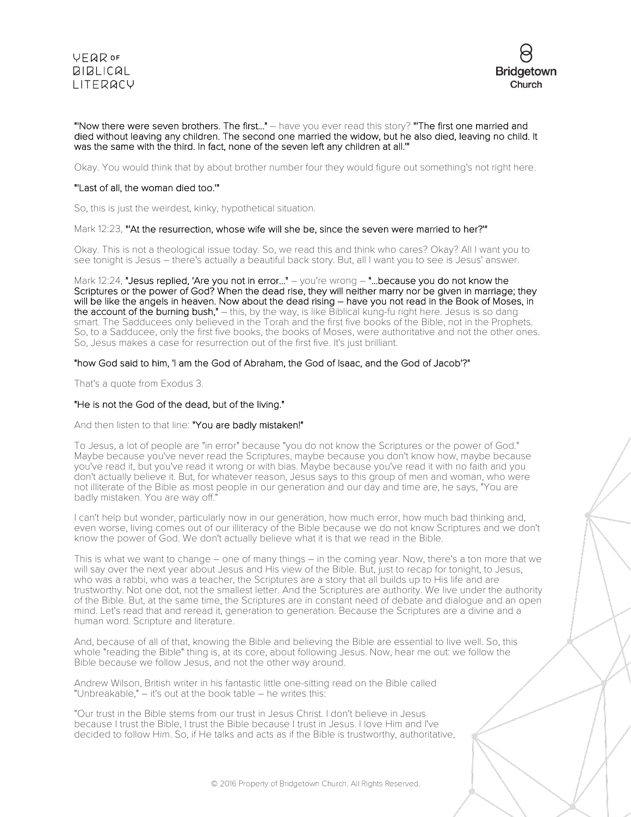



#### "'Now there were seven brothers. The first..." – have you ever read this story? "'The first one married and died without leaving any children. The second one married the widow, but he also died, leaving no child. It was the same with the third. In fact, none of the seven left any children at all.'"

Okay. You would think that by about brother number four they would figure out something's not right here.

### "'Last of all, the woman died too.'"

So, this is just the weirdest, kinky, hypothetical situation.

#### Mark 12:23, "'At the resurrection, whose wife will she be, since the seven were married to her?'"

Okay. This is not a theological issue today. So, we read this and think who cares? Okay? All I want you to see tonight is Jesus – there's actually a beautiful back story. But, all I want you to see is Jesus' answer.

Mark 12:24, "Jesus replied, 'Are you not in error..." – you're wrong  $-$  "...because you do not know the Scriptures or the power of God? When the dead rise, they will neither marry nor be given in marriage; they will be like the angels in heaven. Now about the dead rising – have you not read in the Book of Moses, in the account of the burning bush," - this, by the way, is like Biblical kung-fu right here. Jesus is so dang smart. The Sadducees only believed in the Torah and the first five books of the Bible, not in the Prophets. So, to a Sadducee, only the first five books, the books of Moses, were authoritative and not the other ones. So, Jesus makes a case for resurrection out of the first five. It's just brilliant.

### "how God said to him, 'I am the God of Abraham, the God of Isaac, and the God of Jacob'?"

That's a quote from Exodus 3.

### "He is not the God of the dead, but of the living."

### And then listen to that line: "You are badly mistaken!"

To Jesus, a lot of people are "in error" because "you do not know the Scriptures or the power of God." Maybe because you've never read the Scriptures, maybe because you don't know how, maybe because you've read it, but you've read it wrong or with bias. Maybe because you've read it with no faith and you don't actually believe it. But, for whatever reason, Jesus says to this group of men and woman, who were not illiterate of the Bible as most people in our generation and our day and time are, he says, "You are badly mistaken. You are way off."

I can't help but wonder, particularly now in our generation, how much error, how much bad thinking and, even worse, living comes out of our illiteracy of the Bible because we do not know Scriptures and we don't know the power of God. We don't actually believe what it is that we read in the Bible.

This is what we want to change – one of many things – in the coming year. Now, there's a ton more that we will say over the next year about Jesus and His view of the Bible. But, just to recap for tonight, to Jesus, who was a rabbi, who was a teacher, the Scriptures are a story that all builds up to His life and are trustworthy. Not one dot, not the smallest letter. And the Scriptures are authority. We live under the authority of the Bible. But, at the same time, the Scriptures are in constant need of debate and dialogue and an open mind. Let's read that and reread it, generation to generation. Because the Scriptures are a divine and a human word. Scripture and literature.

And, because of all of that, knowing the Bible and believing the Bible are essential to live well. So, this whole "reading the Bible" thing is, at its core, about following Jesus. Now, hear me out: we follow the Bible because we follow Jesus, and not the other way around.

Andrew Wilson, British writer in his fantastic little one-sitting read on the Bible called "Unbreakable," – it's out at the book table – he writes this:

"Our trust in the Bible stems from our trust in Jesus Christ. I don't believe in Jesus because I trust the Bible, I trust the Bible because I trust in Jesus. I love Him and I've decided to follow Him. So, if He talks and acts as if the Bible is trustworthy, authoritative,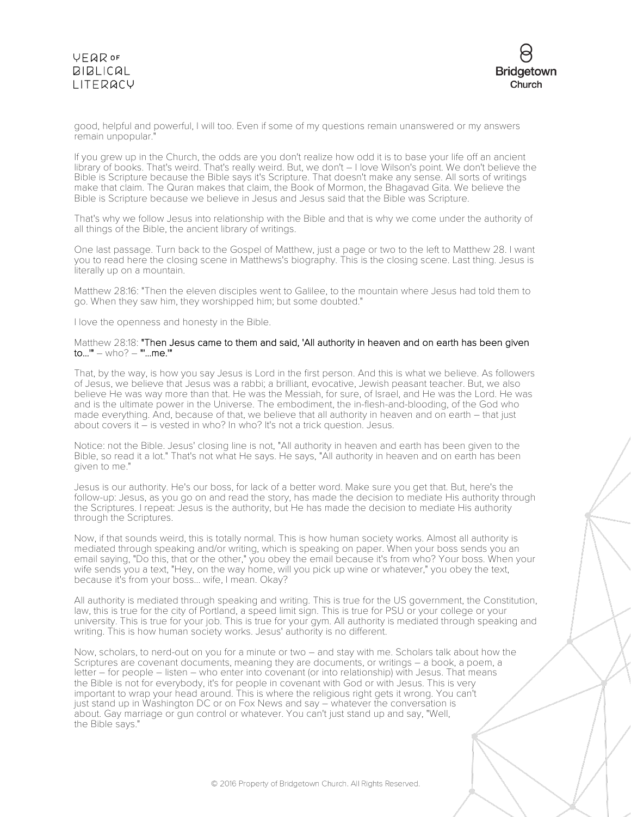

good, helpful and powerful, I will too. Even if some of my questions remain unanswered or my answers remain unpopular."

If you grew up in the Church, the odds are you don't realize how odd it is to base your life off an ancient library of books. That's weird. That's really weird. But, we don't – I love Wilson's point. We don't believe the Bible is Scripture because the Bible says it's Scripture. That doesn't make any sense. All sorts of writings make that claim. The Quran makes that claim, the Book of Mormon, the Bhagavad Gita. We believe the Bible is Scripture because we believe in Jesus and Jesus said that the Bible was Scripture.

That's why we follow Jesus into relationship with the Bible and that is why we come under the authority of all things of the Bible, the ancient library of writings.

One last passage. Turn back to the Gospel of Matthew, just a page or two to the left to Matthew 28. I want you to read here the closing scene in Matthews's biography. This is the closing scene. Last thing. Jesus is literally up on a mountain.

Matthew 28:16: "Then the eleven disciples went to Galilee, to the mountain where Jesus had told them to go. When they saw him, they worshipped him; but some doubted."

I love the openness and honesty in the Bible.

#### Matthew 28:18: "Then Jesus came to them and said, 'All authority in heaven and on earth has been given to...'" – who? – "'...me.'"

That, by the way, is how you say Jesus is Lord in the first person. And this is what we believe. As followers of Jesus, we believe that Jesus was a rabbi; a brilliant, evocative, Jewish peasant teacher. But, we also believe He was way more than that. He was the Messiah, for sure, of Israel, and He was the Lord. He was and is the ultimate power in the Universe. The embodiment, the in-flesh-and-blooding, of the God who made everything. And, because of that, we believe that all authority in heaven and on earth – that just about covers it – is vested in who? In who? It's not a trick question. Jesus.

Notice: not the Bible. Jesus' closing line is not, "All authority in heaven and earth has been given to the Bible, so read it a lot." That's not what He says. He says, "All authority in heaven and on earth has been given to me."

Jesus is our authority. He's our boss, for lack of a better word. Make sure you get that. But, here's the follow-up: Jesus, as you go on and read the story, has made the decision to mediate His authority through the Scriptures. I repeat: Jesus is the authority, but He has made the decision to mediate His authority through the Scriptures.

Now, if that sounds weird, this is totally normal. This is how human society works. Almost all authority is mediated through speaking and/or writing, which is speaking on paper. When your boss sends you an email saying, "Do this, that or the other," you obey the email because it's from who? Your boss. When your wife sends you a text, "Hey, on the way home, will you pick up wine or whatever," you obey the text, because it's from your boss... wife, I mean. Okay?

All authority is mediated through speaking and writing. This is true for the US government, the Constitution, law, this is true for the city of Portland, a speed limit sign. This is true for PSU or your college or your university. This is true for your job. This is true for your gym. All authority is mediated through speaking and writing. This is how human society works. Jesus' authority is no different.

Now, scholars, to nerd-out on you for a minute or two – and stay with me. Scholars talk about how the Scriptures are covenant documents, meaning they are documents, or writings – a book, a poem, a letter – for people – listen – who enter into covenant (or into relationship) with Jesus. That means the Bible is not for everybody, it's for people in covenant with God or with Jesus. This is very important to wrap your head around. This is where the religious right gets it wrong. You can't just stand up in Washington DC or on Fox News and say – whatever the conversation is about. Gay marriage or gun control or whatever. You can't just stand up and say, "Well, the Bible says."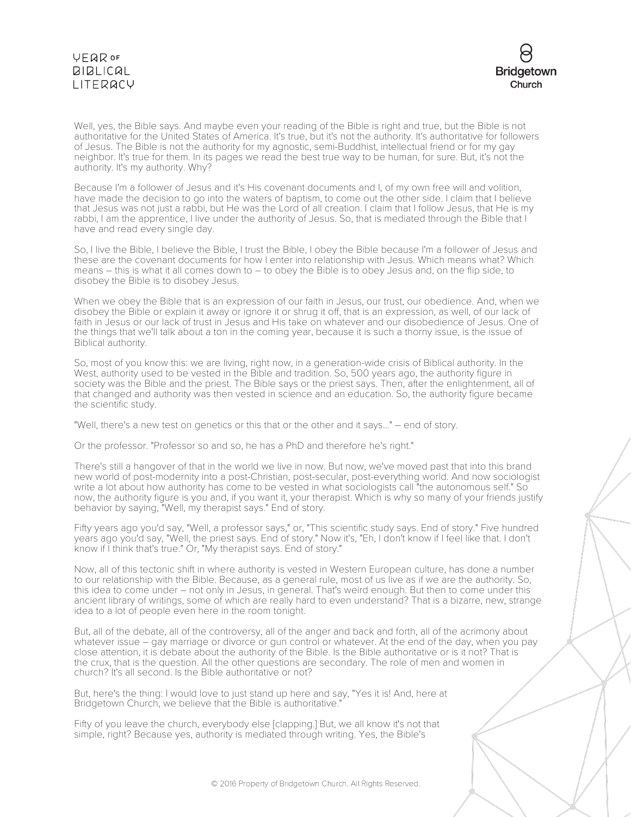

Well, yes, the Bible says. And maybe even your reading of the Bible is right and true, but the Bible is not authoritative for the United States of America. It's true, but it's not the authority. It's authoritative for followers of Jesus. The Bible is not the authority for my agnostic, semi-Buddhist, intellectual friend or for my gay neighbor. It's true for them. In its pages we read the best true way to be human, for sure. But, it's not the authority. It's my authority. Why?

Because I'm a follower of Jesus and it's His covenant documents and I, of my own free will and volition, have made the decision to go into the waters of baptism, to come out the other side. I claim that I believe that Jesus was not just a rabbi, but He was the Lord of all creation. I claim that I follow Jesus, that He is my rabbi, I am the apprentice, I live under the authority of Jesus. So, that is mediated through the Bible that I have and read every single day.

So, I live the Bible, I believe the Bible, I trust the Bible, I obey the Bible because I'm a follower of Jesus and these are the covenant documents for how I enter into relationship with Jesus. Which means what? Which means – this is what it all comes down to – to obey the Bible is to obey Jesus and, on the flip side, to disobey the Bible is to disobey Jesus.

When we obey the Bible that is an expression of our faith in Jesus, our trust, our obedience. And, when we disobey the Bible or explain it away or ignore it or shrug it off, that is an expression, as well, of our lack of faith in Jesus or our lack of trust in Jesus and His take on whatever and our disobedience of Jesus. One of the things that we'll talk about a ton in the coming year, because it is such a thorny issue, is the issue of Biblical authority.

So, most of you know this: we are living, right now, in a generation-wide crisis of Biblical authority. In the West, authority used to be vested in the Bible and tradition. So, 500 years ago, the authority figure in society was the Bible and the priest. The Bible says or the priest says. Then, after the enlightenment, all of that changed and authority was then vested in science and an education. So, the authority figure became the scientific study.

"Well, there's a new test on genetics or this that or the other and it says..." – end of story.

Or the professor. "Professor so and so, he has a PhD and therefore he's right."

There's still a hangover of that in the world we live in now. But now, we've moved past that into this brand new world of post-modernity into a post-Christian, post-secular, post-everything world. And now sociologist write a lot about how authority has come to be vested in what sociologists call "the autonomous self." So now, the authority figure is you and, if you want it, your therapist. Which is why so many of your friends justify behavior by saying, "Well, my therapist says." End of story.

Fifty years ago you'd say, "Well, a professor says," or, "This scientific study says. End of story." Five hundred years ago you'd say, "Well, the priest says. End of story." Now it's, "Eh, I don't know if I feel like that. I don't know if I think that's true." Or, "My therapist says. End of story."

Now, all of this tectonic shift in where authority is vested in Western European culture, has done a number to our relationship with the Bible. Because, as a general rule, most of us live as if we are the authority. So, this idea to come under – not only in Jesus, in general. That's weird enough. But then to come under this ancient library of writings, some of which are really hard to even understand? That is a bizarre, new, strange idea to a lot of people even here in the room tonight.

But, all of the debate, all of the controversy, all of the anger and back and forth, all of the acrimony about whatever issue – gay marriage or divorce or gun control or whatever. At the end of the day, when you pay close attention, it is debate about the authority of the Bible. Is the Bible authoritative or is it not? That is the crux, that is the question. All the other questions are secondary. The role of men and women in church? It's all second. Is the Bible authoritative or not?

But, here's the thing: I would love to just stand up here and say, "Yes it is! And, here at Bridgetown Church, we believe that the Bible is authoritative."

Fifty of you leave the church, everybody else [clapping.] But, we all know it's not that simple, right? Because yes, authority is mediated through writing. Yes, the Bible's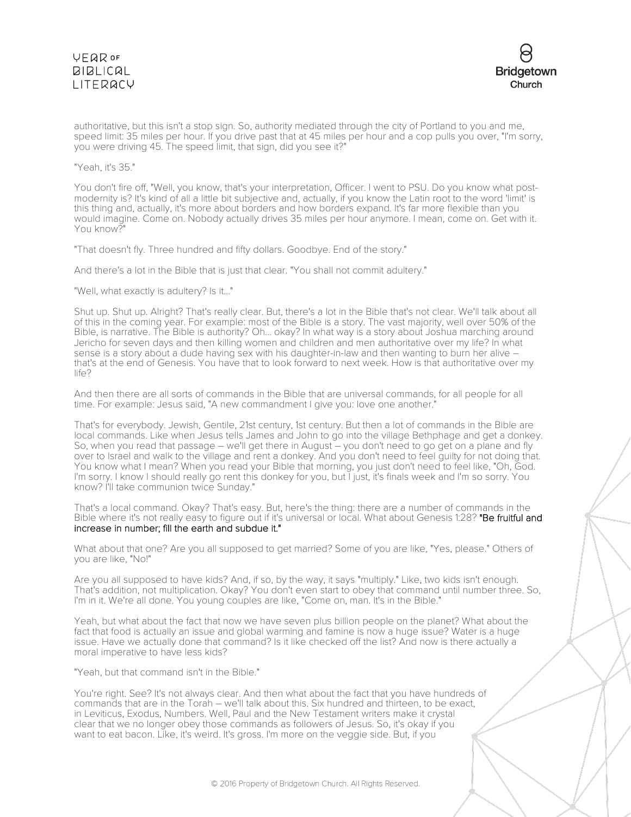

authoritative, but this isn't a stop sign. So, authority mediated through the city of Portland to you and me, speed limit: 35 miles per hour. If you drive past that at 45 miles per hour and a cop pulls you over, "I'm sorry, you were driving 45. The speed limit, that sign, did you see it?"

"Yeah, it's 35."

You don't fire off, "Well, you know, that's your interpretation, Officer. I went to PSU. Do you know what postmodernity is? It's kind of all a little bit subjective and, actually, if you know the Latin root to the word 'limit' is this thing and, actually, it's more about borders and how borders expand. It's far more flexible than you would imagine. Come on. Nobody actually drives 35 miles per hour anymore. I mean, come on. Get with it. You know?"

"That doesn't fly. Three hundred and fifty dollars. Goodbye. End of the story."

And there's a lot in the Bible that is just that clear. "You shall not commit adultery."

"Well, what exactly is adultery? Is it..."

Shut up. Shut up. Alright? That's really clear. But, there's a lot in the Bible that's not clear. We'll talk about all of this in the coming year. For example: most of the Bible is a story. The vast majority, well over 50% of the Bible, is narrative. The Bible is authority? Oh... okay? In what way is a story about Joshua marching around Jericho for seven days and then killing women and children and men authoritative over my life? In what sense is a story about a dude having sex with his daughter-in-law and then wanting to burn her alive – that's at the end of Genesis. You have that to look forward to next week. How is that authoritative over my life?

And then there are all sorts of commands in the Bible that are universal commands, for all people for all time. For example: Jesus said, "A new commandment I give you: love one another."

That's for everybody. Jewish, Gentile, 21st century, 1st century. But then a lot of commands in the Bible are local commands. Like when Jesus tells James and John to go into the village Bethphage and get a donkey. So, when you read that passage – we'll get there in August – you don't need to go get on a plane and fly over to Israel and walk to the village and rent a donkey. And you don't need to feel guilty for not doing that. You know what I mean? When you read your Bible that morning, you just don't need to feel like, "Oh, God. I'm sorry. I know I should really go rent this donkey for you, but I just, it's finals week and I'm so sorry. You know? I'll take communion twice Sunday."

That's a local command. Okay? That's easy. But, here's the thing: there are a number of commands in the Bible where it's not really easy to figure out if it's universal or local. What about Genesis 1:28? "Be fruitful and increase in number; fill the earth and subdue it."

What about that one? Are you all supposed to get married? Some of you are like, "Yes, please." Others of you are like, "No!"

Are you all supposed to have kids? And, if so, by the way, it says "multiply." Like, two kids isn't enough. That's addition, not multiplication. Okay? You don't even start to obey that command until number three. So, I'm in it. We're all done. You young couples are like, "Come on, man. It's in the Bible."

Yeah, but what about the fact that now we have seven plus billion people on the planet? What about the fact that food is actually an issue and global warming and famine is now a huge issue? Water is a huge issue. Have we actually done that command? Is it like checked off the list? And now is there actually a moral imperative to have less kids?

"Yeah, but that command isn't in the Bible."

You're right. See? It's not always clear. And then what about the fact that you have hundreds of commands that are in the Torah – we'll talk about this. Six hundred and thirteen, to be exact, in Leviticus, Exodus, Numbers. Well, Paul and the New Testament writers make it crystal clear that we no longer obey those commands as followers of Jesus. So, it's okay if you want to eat bacon. Like, it's weird. It's gross. I'm more on the veggie side. But, if you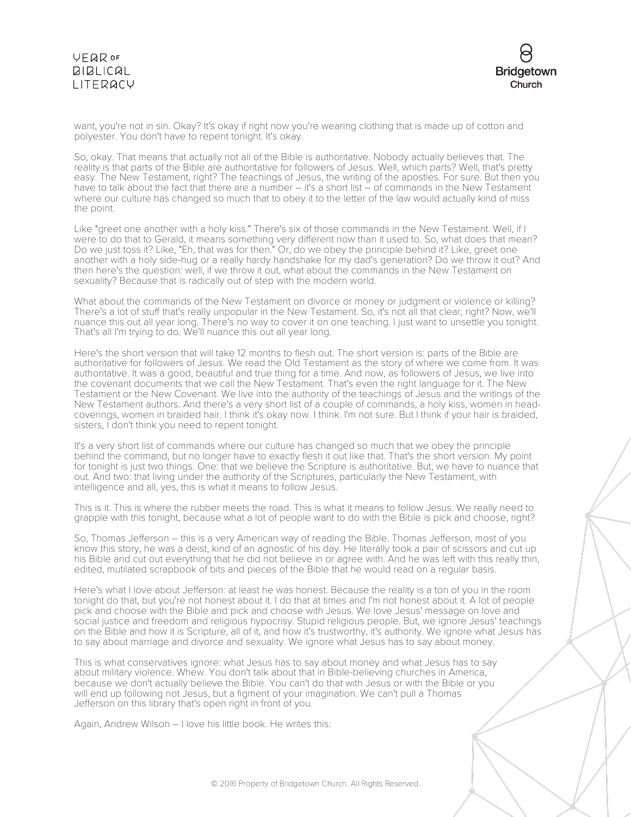

want, you're not in sin. Okay? It's okay if right now you're wearing clothing that is made up of cotton and polyester. You don't have to repent tonight. It's okay.

So, okay. That means that actually not all of the Bible is authoritative. Nobody actually believes that. The reality is that parts of the Bible are authoritative for followers of Jesus. Well, which parts? Well, that's pretty easy. The New Testament, right? The teachings of Jesus, the writing of the apostles. For sure. But then you have to talk about the fact that there are a number – it's a short list – of commands in the New Testament where our culture has changed so much that to obey it to the letter of the law would actually kind of miss the point.

Like "greet one another with a holy kiss." There's six of those commands in the New Testament. Well, if I were to do that to Gerald, it means something very different now than it used to. So, what does that mean? Do we just toss it? Like, "Eh, that was for then." Or, do we obey the principle behind it? Like, greet one another with a holy side-hug or a really hardy handshake for my dad's generation? Do we throw it out? And then here's the question: well, if we throw it out, what about the commands in the New Testament on sexuality? Because that is radically out of step with the modern world.

What about the commands of the New Testament on divorce or money or judgment or violence or killing? There's a lot of stuff that's really unpopular in the New Testament. So, it's not all that clear, right? Now, we'll nuance this out all year long. There's no way to cover it on one teaching. I just want to unsettle you tonight. That's all I'm trying to do. We'll nuance this out all year long.

Here's the short version that will take 12 months to flesh out. The short version is: parts of the Bible are authoritative for followers of Jesus. We read the Old Testament as the story of where we come from. It was authoritative. It was a good, beautiful and true thing for a time. And now, as followers of Jesus, we live into the covenant documents that we call the New Testament. That's even the right language for it. The New Testament or the New Covenant. We live into the authority of the teachings of Jesus and the writings of the New Testament authors. And there's a very short list of a couple of commands, a holy kiss, women in headcoverings, women in braided hair. I think it's okay now. I think. I'm not sure. But I think if your hair is braided, sisters, I don't think you need to repent tonight.

It's a very short list of commands where our culture has changed so much that we obey the principle behind the command, but no longer have to exactly flesh it out like that. That's the short version. My point for tonight is just two things. One: that we believe the Scripture is authoritative. But, we have to nuance that out. And two: that living under the authority of the Scriptures, particularly the New Testament, with intelligence and all, yes, this is what it means to follow Jesus.

This is it. This is where the rubber meets the road. This is what it means to follow Jesus. We really need to grapple with this tonight, because what a lot of people want to do with the Bible is pick and choose, right?

So, Thomas Jefferson – this is a very American way of reading the Bible. Thomas Jefferson, most of you know this story, he was a deist, kind of an agnostic of his day. He literally took a pair of scissors and cut up his Bible and cut out everything that he did not believe in or agree with. And he was left with this really thin, edited, mutilated scrapbook of bits and pieces of the Bible that he would read on a regular basis.

Here's what I love about Jefferson: at least he was honest. Because the reality is a ton of you in the room tonight do that, but you're not honest about it. I do that at times and I'm not honest about it. A lot of people pick and choose with the Bible and pick and choose with Jesus. We love Jesus' message on love and social justice and freedom and religious hypocrisy. Stupid religious people. But, we ignore Jesus' teachings on the Bible and how it is Scripture, all of it, and how it's trustworthy, it's authority. We ignore what Jesus has to say about marriage and divorce and sexuality. We ignore what Jesus has to say about money.

This is what conservatives ignore: what Jesus has to say about money and what Jesus has to say about military violence. Whew. You don't talk about that in Bible-believing churches in America, because we don't actually believe the Bible. You can't do that with Jesus or with the Bible or you will end up following not Jesus, but a figment of your imagination. We can't pull a Thomas Jefferson on this library that's open right in front of you.

Again, Andrew Wilson – I love his little book. He writes this: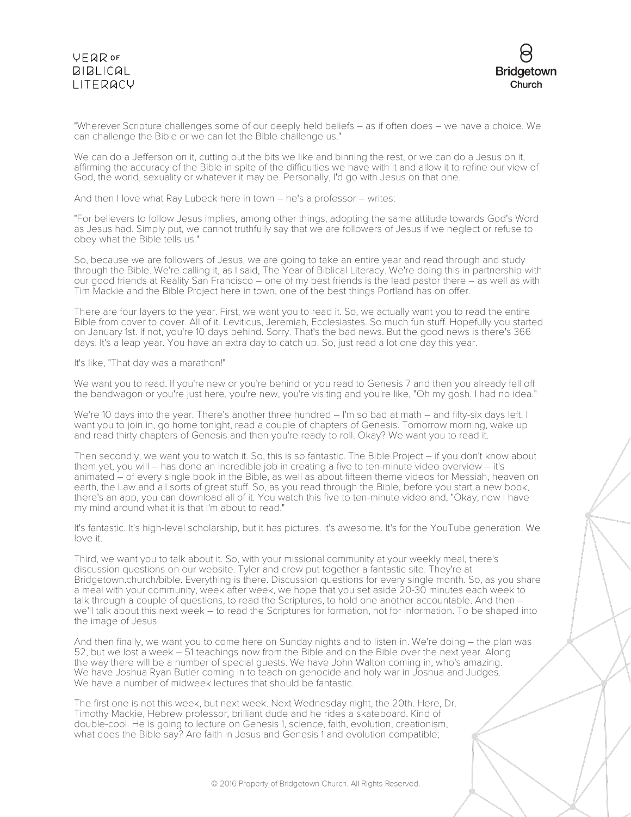

"Wherever Scripture challenges some of our deeply held beliefs – as if often does – we have a choice. We can challenge the Bible or we can let the Bible challenge us."

We can do a Jefferson on it, cutting out the bits we like and binning the rest, or we can do a Jesus on it, affirming the accuracy of the Bible in spite of the difficulties we have with it and allow it to refine our view of God, the world, sexuality or whatever it may be. Personally, I'd go with Jesus on that one.

And then I love what Ray Lubeck here in town – he's a professor – writes:

"For believers to follow Jesus implies, among other things, adopting the same attitude towards God's Word as Jesus had. Simply put, we cannot truthfully say that we are followers of Jesus if we neglect or refuse to obey what the Bible tells us."

So, because we are followers of Jesus, we are going to take an entire year and read through and study through the Bible. We're calling it, as I said, The Year of Biblical Literacy. We're doing this in partnership with our good friends at Reality San Francisco – one of my best friends is the lead pastor there – as well as with Tim Mackie and the Bible Project here in town, one of the best things Portland has on offer.

There are four layers to the year. First, we want you to read it. So, we actually want you to read the entire Bible from cover to cover. All of it. Leviticus, Jeremiah, Ecclesiastes. So much fun stuff. Hopefully you started on January 1st. If not, you're 10 days behind. Sorry. That's the bad news. But the good news is there's 366 days. It's a leap year. You have an extra day to catch up. So, just read a lot one day this year.

It's like, "That day was a marathon!"

We want you to read. If you're new or you're behind or you read to Genesis 7 and then you already fell off the bandwagon or you're just here, you're new, you're visiting and you're like, "Oh my gosh. I had no idea."

We're 10 days into the year. There's another three hundred – I'm so bad at math – and fifty-six days left. I want you to join in, go home tonight, read a couple of chapters of Genesis. Tomorrow morning, wake up and read thirty chapters of Genesis and then you're ready to roll. Okay? We want you to read it.

Then secondly, we want you to watch it. So, this is so fantastic. The Bible Project – if you don't know about them yet, you will – has done an incredible job in creating a five to ten-minute video overview – it's animated – of every single book in the Bible, as well as about fifteen theme videos for Messiah, heaven on earth, the Law and all sorts of great stuff. So, as you read through the Bible, before you start a new book, there's an app, you can download all of it. You watch this five to ten-minute video and, "Okay, now I have my mind around what it is that I'm about to read."

It's fantastic. It's high-level scholarship, but it has pictures. It's awesome. It's for the YouTube generation. We love it.

Third, we want you to talk about it. So, with your missional community at your weekly meal, there's discussion questions on our website. Tyler and crew put together a fantastic site. They're at Bridgetown.church/bible. Everything is there. Discussion questions for every single month. So, as you share a meal with your community, week after week, we hope that you set aside 20-30 minutes each week to talk through a couple of questions, to read the Scriptures, to hold one another accountable. And then – we'll talk about this next week – to read the Scriptures for formation, not for information. To be shaped into the image of Jesus.

And then finally, we want you to come here on Sunday nights and to listen in. We're doing – the plan was 52, but we lost a week – 51 teachings now from the Bible and on the Bible over the next year. Along the way there will be a number of special guests. We have John Walton coming in, who's amazing. We have Joshua Ryan Butler coming in to teach on genocide and holy war in Joshua and Judges. We have a number of midweek lectures that should be fantastic.

The first one is not this week, but next week. Next Wednesday night, the 20th. Here, Dr. Timothy Mackie, Hebrew professor, brilliant dude and he rides a skateboard. Kind of double-cool. He is going to lecture on Genesis 1, science, faith, evolution, creationism, what does the Bible say? Are faith in Jesus and Genesis 1 and evolution compatible;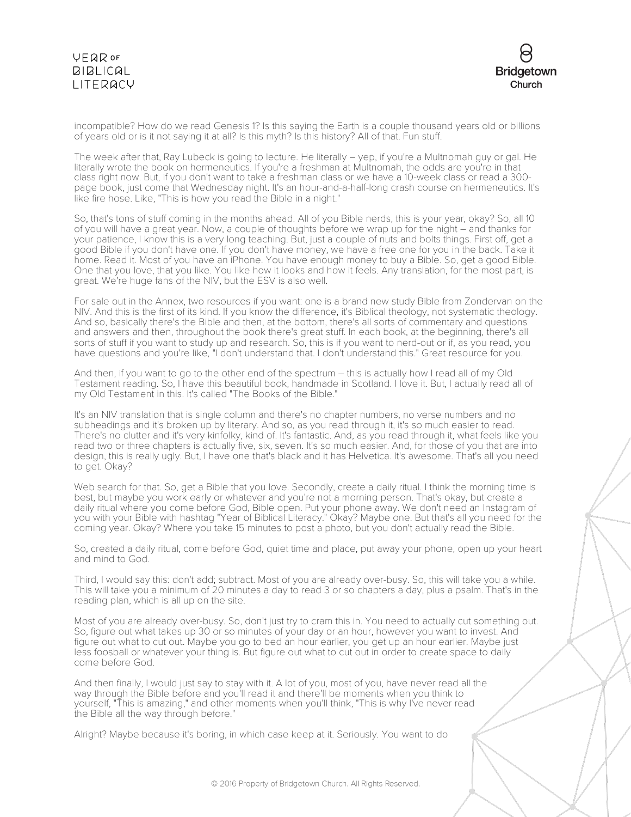

incompatible? How do we read Genesis 1? Is this saying the Earth is a couple thousand years old or billions of years old or is it not saying it at all? Is this myth? Is this history? All of that. Fun stuff.

The week after that, Ray Lubeck is going to lecture. He literally – yep, if you're a Multnomah guy or gal. He literally wrote the book on hermeneutics. If you're a freshman at Multnomah, the odds are you're in that class right now. But, if you don't want to take a freshman class or we have a 10-week class or read a 300 page book, just come that Wednesday night. It's an hour-and-a-half-long crash course on hermeneutics. It's like fire hose. Like, "This is how you read the Bible in a night."

So, that's tons of stuff coming in the months ahead. All of you Bible nerds, this is your year, okay? So, all 10 of you will have a great year. Now, a couple of thoughts before we wrap up for the night – and thanks for your patience, I know this is a very long teaching. But, just a couple of nuts and bolts things. First off, get a good Bible if you don't have one. If you don't have money, we have a free one for you in the back. Take it home. Read it. Most of you have an iPhone. You have enough money to buy a Bible. So, get a good Bible. One that you love, that you like. You like how it looks and how it feels. Any translation, for the most part, is great. We're huge fans of the NIV, but the ESV is also well.

For sale out in the Annex, two resources if you want: one is a brand new study Bible from Zondervan on the NIV. And this is the first of its kind. If you know the difference, it's Biblical theology, not systematic theology. And so, basically there's the Bible and then, at the bottom, there's all sorts of commentary and questions and answers and then, throughout the book there's great stuff. In each book, at the beginning, there's all sorts of stuff if you want to study up and research. So, this is if you want to nerd-out or if, as you read, you have questions and you're like, "I don't understand that. I don't understand this." Great resource for you.

And then, if you want to go to the other end of the spectrum – this is actually how I read all of my Old Testament reading. So, I have this beautiful book, handmade in Scotland. I love it. But, I actually read all of my Old Testament in this. It's called "The Books of the Bible."

It's an NIV translation that is single column and there's no chapter numbers, no verse numbers and no subheadings and it's broken up by literary. And so, as you read through it, it's so much easier to read. There's no clutter and it's very kinfolky, kind of. It's fantastic. And, as you read through it, what feels like you read two or three chapters is actually five, six, seven. It's so much easier. And, for those of you that are into design, this is really ugly. But, I have one that's black and it has Helvetica. It's awesome. That's all you need to get. Okay?

Web search for that. So, get a Bible that you love. Secondly, create a daily ritual. I think the morning time is best, but maybe you work early or whatever and you're not a morning person. That's okay, but create a daily ritual where you come before God, Bible open. Put your phone away. We don't need an Instagram of you with your Bible with hashtag "Year of Biblical Literacy." Okay? Maybe one. But that's all you need for the coming year. Okay? Where you take 15 minutes to post a photo, but you don't actually read the Bible.

So, created a daily ritual, come before God, quiet time and place, put away your phone, open up your heart and mind to God.

Third, I would say this: don't add; subtract. Most of you are already over-busy. So, this will take you a while. This will take you a minimum of 20 minutes a day to read 3 or so chapters a day, plus a psalm. That's in the reading plan, which is all up on the site.

Most of you are already over-busy. So, don't just try to cram this in. You need to actually cut something out. So, figure out what takes up 30 or so minutes of your day or an hour, however you want to invest. And figure out what to cut out. Maybe you go to bed an hour earlier, you get up an hour earlier. Maybe just less foosball or whatever your thing is. But figure out what to cut out in order to create space to daily come before God.

And then finally, I would just say to stay with it. A lot of you, most of you, have never read all the way through the Bible before and you'll read it and there'll be moments when you think to yourself, "This is amazing," and other moments when you'll think, "This is why I've never read the Bible all the way through before."

Alright? Maybe because it's boring, in which case keep at it. Seriously. You want to do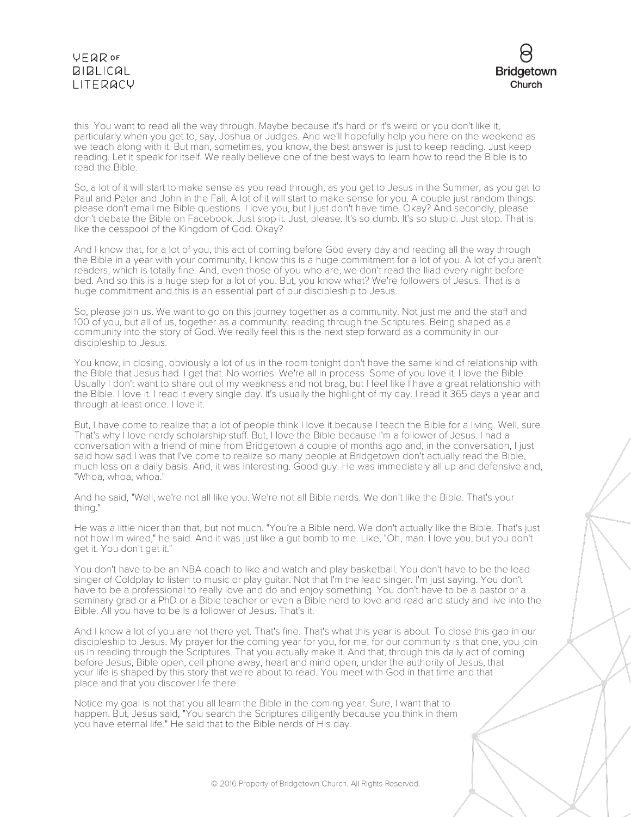

this. You want to read all the way through. Maybe because it's hard or it's weird or you don't like it, particularly when you get to, say, Joshua or Judges. And we'll hopefully help you here on the weekend as we teach along with it. But man, sometimes, you know, the best answer is just to keep reading. Just keep reading. Let it speak for itself. We really believe one of the best ways to learn how to read the Bible is to read the Bible.

So, a lot of it will start to make sense as you read through, as you get to Jesus in the Summer, as you get to Paul and Peter and John in the Fall. A lot of it will start to make sense for you. A couple just random things: please don't email me Bible questions. I love you, but I just don't have time. Okay? And secondly, please don't debate the Bible on Facebook. Just stop it. Just, please. It's so dumb. It's so stupid. Just stop. That is like the cesspool of the Kingdom of God. Okay?

And I know that, for a lot of you, this act of coming before God every day and reading all the way through the Bible in a year with your community, I know this is a huge commitment for a lot of you. A lot of you aren't readers, which is totally fine. And, even those of you who are, we don't read the Iliad every night before bed. And so this is a huge step for a lot of you. But, you know what? We're followers of Jesus. That is a huge commitment and this is an essential part of our discipleship to Jesus.

So, please join us. We want to go on this journey together as a community. Not just me and the staff and 100 of you, but all of us, together as a community, reading through the Scriptures. Being shaped as a community into the story of God. We really feel this is the next step forward as a community in our discipleship to Jesus.

You know, in closing, obviously a lot of us in the room tonight don't have the same kind of relationship with the Bible that Jesus had. I get that. No worries. We're all in process. Some of you love it. I love the Bible. Usually I don't want to share out of my weakness and not brag, but I feel like I have a great relationship with the Bible. I love it. I read it every single day. It's usually the highlight of my day. I read it 365 days a year and through at least once. I love it.

But, I have come to realize that a lot of people think I love it because I teach the Bible for a living. Well, sure. That's why I love nerdy scholarship stuff. But, I love the Bible because I'm a follower of Jesus. I had a conversation with a friend of mine from Bridgetown a couple of months ago and, in the conversation, I just said how sad I was that I've come to realize so many people at Bridgetown don't actually read the Bible, much less on a daily basis. And, it was interesting. Good guy. He was immediately all up and defensive and, "Whoa, whoa, whoa."

And he said, "Well, we're not all like you. We're not all Bible nerds. We don't like the Bible. That's your thing."

He was a little nicer than that, but not much. "You're a Bible nerd. We don't actually like the Bible. That's just not how I'm wired," he said. And it was just like a gut bomb to me. Like, "Oh, man. I love you, but you don't get it. You don't get it."

You don't have to be an NBA coach to like and watch and play basketball. You don't have to be the lead singer of Coldplay to listen to music or play guitar. Not that I'm the lead singer. I'm just saying. You don't have to be a professional to really love and do and enjoy something. You don't have to be a pastor or a seminary grad or a PhD or a Bible teacher or even a Bible nerd to love and read and study and live into the Bible. All you have to be is a follower of Jesus. That's it.

And I know a lot of you are not there yet. That's fine. That's what this year is about. To close this gap in our discipleship to Jesus. My prayer for the coming year for you, for me, for our community is that one, you join us in reading through the Scriptures. That you actually make it. And that, through this daily act of coming before Jesus, Bible open, cell phone away, heart and mind open, under the authority of Jesus, that your life is shaped by this story that we're about to read. You meet with God in that time and that place and that you discover life there.

Notice my goal is not that you all learn the Bible in the coming year. Sure, I want that to happen. But, Jesus said, "You search the Scriptures diligently because you think in them you have eternal life." He said that to the Bible nerds of His day.